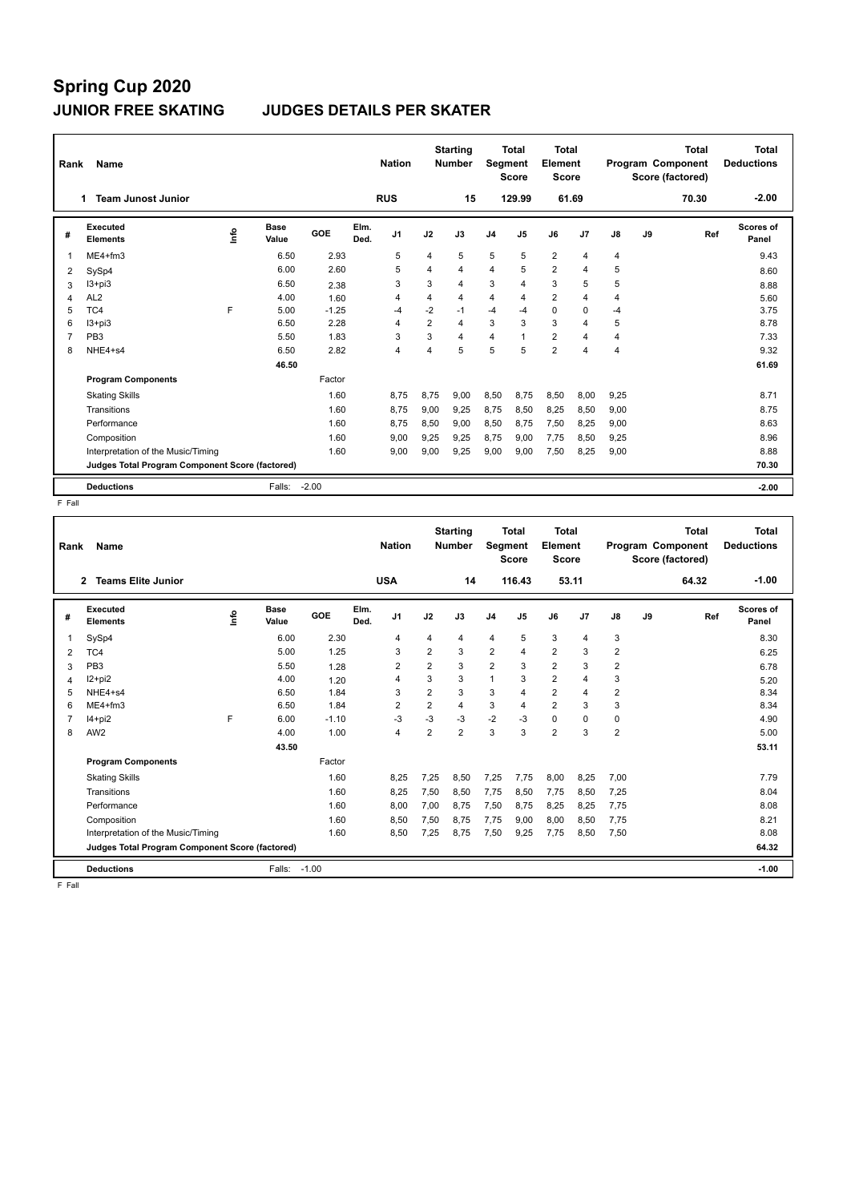## **Spring Cup 2020 JUNIOR FREE SKATING JUDGES DETAILS PER SKATER**

| Rank           | Name                                            |   |                      |         |              | <b>Nation</b>  |                | <b>Starting</b><br><b>Number</b> | Segment        | Total<br><b>Score</b> | Total<br>Element<br><b>Score</b> |                |                |    | <b>Total</b><br>Program Component<br>Score (factored) | Total<br><b>Deductions</b> |
|----------------|-------------------------------------------------|---|----------------------|---------|--------------|----------------|----------------|----------------------------------|----------------|-----------------------|----------------------------------|----------------|----------------|----|-------------------------------------------------------|----------------------------|
|                | <b>Team Junost Junior</b><br>1.                 |   |                      |         |              | <b>RUS</b>     |                | 15                               |                | 129.99                | 61.69                            |                |                |    | 70.30                                                 | $-2.00$                    |
| #              | Executed<br><b>Elements</b>                     | ۴ | <b>Base</b><br>Value | GOE     | Elm.<br>Ded. | J <sub>1</sub> | J2             | J3                               | J <sub>4</sub> | J <sub>5</sub>        | J6                               | J <sub>7</sub> | $\mathsf{J}8$  | J9 | Ref                                                   | Scores of<br>Panel         |
| 1              | $ME4 + fm3$                                     |   | 6.50                 | 2.93    |              | 5              | 4              | 5                                | 5              | 5                     | $\overline{2}$                   | $\overline{4}$ | 4              |    |                                                       | 9.43                       |
| 2              | SySp4                                           |   | 6.00                 | 2.60    |              | 5              | $\overline{4}$ | $\overline{4}$                   | $\overline{4}$ | 5                     | $\overline{2}$                   | 4              | 5              |    |                                                       | 8.60                       |
| 3              | $13 + pi3$                                      |   | 6.50                 | 2.38    |              | 3              | 3              | $\overline{4}$                   | 3              | $\overline{4}$        | 3                                | 5              | 5              |    |                                                       | 8.88                       |
| 4              | AL <sub>2</sub>                                 |   | 4.00                 | 1.60    |              | 4              | 4              | 4                                | 4              | 4                     | $\overline{2}$                   | 4              | 4              |    |                                                       | 5.60                       |
| 5              | TC4                                             | F | 5.00                 | $-1.25$ |              | $-4$           | $-2$           | $-1$                             | $-4$           | -4                    | $\Omega$                         | $\Omega$       | $-4$           |    |                                                       | 3.75                       |
| 6              | $13 + pi3$                                      |   | 6.50                 | 2.28    |              | 4              | $\overline{2}$ | 4                                | 3              | 3                     | 3                                | $\overline{4}$ | 5              |    |                                                       | 8.78                       |
| $\overline{7}$ | PB <sub>3</sub>                                 |   | 5.50                 | 1.83    |              | 3              | 3              | 4                                | 4              |                       | $\overline{2}$                   | 4              | $\overline{4}$ |    |                                                       | 7.33                       |
| 8              | NHE4+s4                                         |   | 6.50                 | 2.82    |              | 4              | 4              | 5                                | 5              | 5                     | $\overline{2}$                   | 4              | 4              |    |                                                       | 9.32                       |
|                |                                                 |   | 46.50                |         |              |                |                |                                  |                |                       |                                  |                |                |    |                                                       | 61.69                      |
|                | <b>Program Components</b>                       |   |                      | Factor  |              |                |                |                                  |                |                       |                                  |                |                |    |                                                       |                            |
|                | <b>Skating Skills</b>                           |   |                      | 1.60    |              | 8.75           | 8.75           | 9.00                             | 8,50           | 8.75                  | 8,50                             | 8,00           | 9,25           |    |                                                       | 8.71                       |
|                | Transitions                                     |   |                      | 1.60    |              | 8.75           | 9.00           | 9.25                             | 8.75           | 8,50                  | 8,25                             | 8,50           | 9.00           |    |                                                       | 8.75                       |
|                | Performance                                     |   |                      | 1.60    |              | 8.75           | 8,50           | 9.00                             | 8,50           | 8.75                  | 7,50                             | 8,25           | 9.00           |    |                                                       | 8.63                       |
|                | Composition                                     |   |                      | 1.60    |              | 9,00           | 9,25           | 9,25                             | 8,75           | 9,00                  | 7,75                             | 8,50           | 9,25           |    |                                                       | 8.96                       |
|                | Interpretation of the Music/Timing              |   |                      | 1.60    |              | 9.00           | 9,00           | 9,25                             | 9,00           | 9,00                  | 7,50                             | 8,25           | 9,00           |    |                                                       | 8.88                       |
|                | Judges Total Program Component Score (factored) |   |                      |         |              |                |                |                                  |                |                       |                                  |                |                |    |                                                       | 70.30                      |
|                | <b>Deductions</b>                               |   | Falls:               | $-2.00$ |              |                |                |                                  |                |                       |                                  |                |                |    |                                                       | $-2.00$                    |

F Fall

| Rank           | Name                                            |      |                      |         |              | <b>Nation</b>  |                | <b>Starting</b><br><b>Number</b> | Segment        | Total<br><b>Score</b> | <b>Total</b><br>Element<br>Score |                |                |    | <b>Total</b><br>Program Component<br>Score (factored) | <b>Total</b><br><b>Deductions</b> |
|----------------|-------------------------------------------------|------|----------------------|---------|--------------|----------------|----------------|----------------------------------|----------------|-----------------------|----------------------------------|----------------|----------------|----|-------------------------------------------------------|-----------------------------------|
|                | <b>Teams Elite Junior</b><br>2                  |      |                      |         |              | <b>USA</b>     |                | 14                               |                | 116.43                | 53.11                            |                |                |    | 64.32                                                 | $-1.00$                           |
| #              | Executed<br><b>Elements</b>                     | ١nfo | <b>Base</b><br>Value | GOE     | Elm.<br>Ded. | J <sub>1</sub> | J2             | J3                               | J <sub>4</sub> | J <sub>5</sub>        | J6                               | J <sub>7</sub> | J8             | J9 | Ref                                                   | <b>Scores of</b><br>Panel         |
| 1              | SySp4                                           |      | 6.00                 | 2.30    |              | $\overline{4}$ | 4              | 4                                | 4              | 5                     | 3                                | 4              | 3              |    |                                                       | 8.30                              |
| $\overline{2}$ | TC4                                             |      | 5.00                 | 1.25    |              | 3              | $\overline{2}$ | 3                                | $\overline{2}$ | 4                     | $\overline{2}$                   | 3              | $\overline{2}$ |    |                                                       | 6.25                              |
| 3              | PB <sub>3</sub>                                 |      | 5.50                 | 1.28    |              | $\overline{2}$ | $\overline{2}$ | 3                                | $\overline{2}$ | 3                     | $\overline{2}$                   | 3              | $\overline{2}$ |    |                                                       | 6.78                              |
| 4              | $12 + pi2$                                      |      | 4.00                 | 1.20    |              | $\overline{4}$ | 3              | 3                                | $\overline{1}$ | 3                     | $\overline{2}$                   | 4              | 3              |    |                                                       | 5.20                              |
| 5              | NHE4+s4                                         |      | 6.50                 | 1.84    |              | 3              | 2              | 3                                | 3              | $\overline{4}$        | $\overline{2}$                   | 4              | 2              |    |                                                       | 8.34                              |
| 6              | $ME4 + fm3$                                     |      | 6.50                 | 1.84    |              | $\overline{2}$ | 2              | 4                                | 3              | 4                     | $\overline{2}$                   | 3              | 3              |    |                                                       | 8.34                              |
|                | $14+pi2$                                        | F    | 6.00                 | $-1.10$ |              | $-3$           | $-3$           | -3                               | $-2$           | $-3$                  | $\Omega$                         | $\Omega$       | $\Omega$       |    |                                                       | 4.90                              |
| 8              | AW <sub>2</sub>                                 |      | 4.00                 | 1.00    |              | $\overline{4}$ | $\overline{2}$ | $\overline{2}$                   | 3              | 3                     | $\overline{2}$                   | 3              | $\overline{2}$ |    |                                                       | 5.00                              |
|                |                                                 |      | 43.50                |         |              |                |                |                                  |                |                       |                                  |                |                |    |                                                       | 53.11                             |
|                | <b>Program Components</b>                       |      |                      | Factor  |              |                |                |                                  |                |                       |                                  |                |                |    |                                                       |                                   |
|                | <b>Skating Skills</b>                           |      |                      | 1.60    |              | 8,25           | 7,25           | 8.50                             | 7,25           | 7,75                  | 8,00                             | 8,25           | 7,00           |    |                                                       | 7.79                              |
|                | Transitions                                     |      |                      | 1.60    |              | 8,25           | 7,50           | 8.50                             | 7,75           | 8.50                  | 7,75                             | 8,50           | 7,25           |    |                                                       | 8.04                              |
|                | Performance                                     |      |                      | 1.60    |              | 8,00           | 7,00           | 8,75                             | 7,50           | 8,75                  | 8,25                             | 8,25           | 7,75           |    |                                                       | 8.08                              |
|                | Composition                                     |      |                      | 1.60    |              | 8,50           | 7,50           | 8,75                             | 7,75           | 9,00                  | 8,00                             | 8,50           | 7,75           |    |                                                       | 8.21                              |
|                | Interpretation of the Music/Timing              |      |                      | 1.60    |              | 8,50           | 7,25           | 8,75                             | 7,50           | 9,25                  | 7,75                             | 8,50           | 7,50           |    |                                                       | 8.08                              |
|                | Judges Total Program Component Score (factored) |      |                      |         |              |                |                |                                  |                |                       |                                  |                |                |    |                                                       | 64.32                             |
|                | <b>Deductions</b>                               |      | Falls:               | $-1.00$ |              |                |                |                                  |                |                       |                                  |                |                |    |                                                       | $-1.00$                           |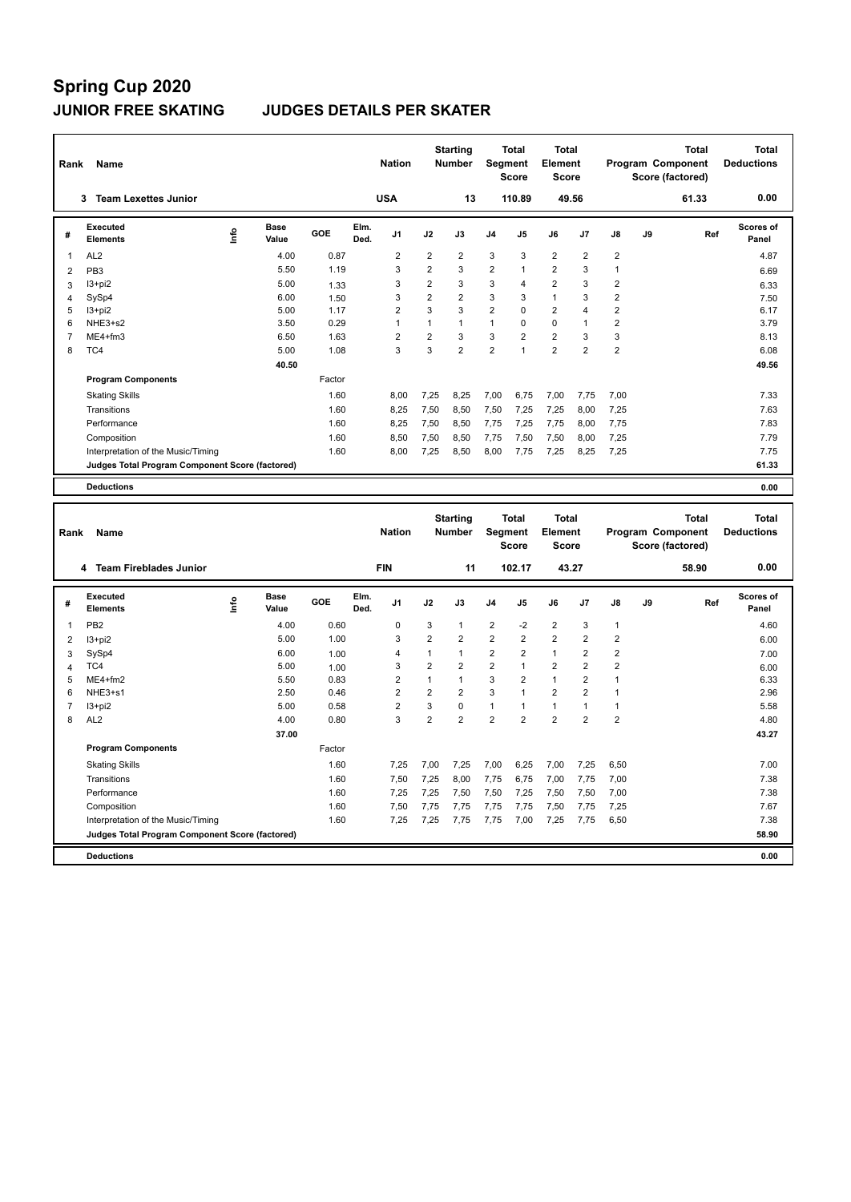### **JUNIOR FREE SKATING JUDGES DETAILS PER SKATER**

| Rank                          | Name                                              |      |                      |              |              | <b>Nation</b>                      |                                | <b>Starting</b><br><b>Number</b> | Segment                 | <b>Total</b><br><b>Score</b> | <b>Total</b><br>Element<br><b>Score</b> |                                  |                              | Program Component<br>Score (factored) | <b>Total</b> |     | <b>Total</b><br><b>Deductions</b> |
|-------------------------------|---------------------------------------------------|------|----------------------|--------------|--------------|------------------------------------|--------------------------------|----------------------------------|-------------------------|------------------------------|-----------------------------------------|----------------------------------|------------------------------|---------------------------------------|--------------|-----|-----------------------------------|
|                               | 3 Team Lexettes Junior                            |      |                      |              |              | <b>USA</b>                         |                                | 13                               |                         | 110.89                       |                                         | 49.56                            |                              |                                       | 61.33        |     | 0.00                              |
| #                             | Executed<br><b>Elements</b>                       | lnfo | <b>Base</b><br>Value | GOE          | Elm.<br>Ded. | J1                                 | J2                             | J3                               | J4                      | J5                           | J6                                      | J7                               | J8                           | J9                                    |              | Ref | Scores of<br>Panel                |
| 1                             | AL <sub>2</sub>                                   |      | 4.00                 | 0.87         |              | $\overline{2}$                     | $\overline{2}$                 | 2                                | 3                       | 3                            | $\overline{2}$                          | $\overline{2}$                   | $\overline{2}$               |                                       |              |     | 4.87                              |
| $\overline{2}$                | PB <sub>3</sub>                                   |      | 5.50                 | 1.19         |              | 3                                  | $\overline{2}$                 | 3                                | $\overline{2}$          | 1                            | $\overline{2}$                          | 3                                | $\mathbf{1}$                 |                                       |              |     | 6.69                              |
| 3                             | $13 + pi2$                                        |      | 5.00                 | 1.33         |              | 3                                  | $\overline{2}$                 | 3                                | 3                       | $\overline{4}$               | $\overline{2}$                          | 3                                | $\overline{2}$               |                                       |              |     | 6.33                              |
| 4                             | SySp4                                             |      | 6.00                 | 1.50         |              | 3                                  | $\overline{2}$                 | $\overline{2}$                   | 3                       | 3                            | $\mathbf{1}$                            | $\mathbf{3}$                     | $\overline{2}$               |                                       |              |     | 7.50                              |
| 5                             | $13 + pi2$                                        |      | 5.00                 | 1.17         |              | $\overline{2}$                     | 3                              | 3                                | $\overline{2}$          | $\mathbf 0$                  | $\overline{2}$                          | 4                                | $\overline{2}$               |                                       |              |     | 6.17                              |
| 6                             | NHE3+s2                                           |      | 3.50                 | 0.29         |              | $\mathbf{1}$                       | $\mathbf{1}$                   | $\mathbf{1}$                     | $\mathbf{1}$            | $\mathbf 0$                  | $\mathbf 0$                             | $\mathbf{1}$                     | $\overline{2}$               |                                       |              |     | 3.79                              |
| 7                             | ME4+fm3                                           |      | 6.50                 | 1.63         |              | $\overline{2}$                     | $\overline{2}$                 | 3                                | 3                       | $\overline{2}$               | $\overline{2}$                          | $\mathbf{3}$                     | 3                            |                                       |              |     | 8.13                              |
| 8                             | TC4                                               |      | 5.00                 | 1.08         |              | 3                                  | 3                              | $\overline{2}$                   | $\overline{2}$          | 1                            | $\overline{2}$                          | $\overline{2}$                   | $\overline{2}$               |                                       |              |     | 6.08                              |
|                               |                                                   |      | 40.50                |              |              |                                    |                                |                                  |                         |                              |                                         |                                  |                              |                                       |              |     | 49.56                             |
|                               | <b>Program Components</b>                         |      |                      | Factor       |              |                                    |                                |                                  |                         |                              |                                         |                                  |                              |                                       |              |     |                                   |
|                               | <b>Skating Skills</b>                             |      |                      | 1.60         |              | 8,00                               | 7,25                           | 8,25                             | 7,00                    | 6,75                         | 7,00                                    | 7,75                             | 7,00                         |                                       |              |     | 7.33                              |
|                               | Transitions                                       |      |                      | 1.60         |              | 8,25                               | 7,50                           | 8,50                             | 7,50                    | 7,25                         | 7,25                                    | 8,00                             | 7,25                         |                                       |              |     | 7.63                              |
|                               | Performance                                       |      |                      | 1.60         |              | 8,25                               | 7,50                           | 8,50                             | 7,75                    | 7,25                         | 7,75                                    | 8,00                             | 7,75                         |                                       |              |     | 7.83                              |
|                               | Composition                                       |      |                      | 1.60         |              | 8,50                               | 7,50                           | 8,50                             | 7,75                    | 7,50                         | 7,50                                    | 8,00                             | 7,25                         |                                       |              |     | 7.79                              |
|                               | Interpretation of the Music/Timing                |      |                      | 1.60         |              | 8,00                               | 7,25                           | 8,50                             | 8,00                    | 7,75                         | 7,25                                    | 8,25                             | 7,25                         |                                       |              |     | 7.75                              |
|                               | Judges Total Program Component Score (factored)   |      |                      |              |              |                                    |                                |                                  |                         |                              |                                         |                                  |                              |                                       |              |     | 61.33                             |
|                               | <b>Deductions</b>                                 |      |                      |              |              |                                    |                                |                                  |                         |                              |                                         |                                  |                              |                                       |              |     | 0.00                              |
|                               |                                                   |      |                      |              |              |                                    |                                |                                  |                         |                              |                                         |                                  |                              |                                       |              |     |                                   |
|                               |                                                   |      |                      |              |              |                                    |                                |                                  |                         |                              |                                         |                                  |                              |                                       |              |     |                                   |
| Rank                          | Name                                              |      |                      |              |              | <b>Nation</b>                      |                                | <b>Starting</b><br>Number        | Segment                 | <b>Total</b><br><b>Score</b> | <b>Total</b><br>Element<br><b>Score</b> |                                  |                              | Program Component<br>Score (factored) | <b>Total</b> |     | <b>Total</b><br><b>Deductions</b> |
|                               | 4 Team Fireblades Junior                          |      |                      |              |              | <b>FIN</b>                         |                                | 11                               |                         | 102.17                       |                                         | 43.27                            |                              |                                       | 58.90        |     | 0.00                              |
| #                             | Executed<br>Elements                              |      | <b>Base</b><br>Value | GOE          | Elm.         | J <sub>1</sub>                     | J2                             | J3                               | J4                      | J5                           | J6                                      | J7                               | J8                           | J9                                    |              | Ref | <b>Scores of</b><br>Panel         |
|                               |                                                   | lnfo |                      |              | Ded.         |                                    |                                |                                  |                         |                              |                                         |                                  |                              |                                       |              |     |                                   |
| $\mathbf{1}$                  | PB <sub>2</sub>                                   |      | 4.00                 | 0.60         |              | $\mathbf 0$                        | 3                              | $\mathbf{1}$                     | $\overline{\mathbf{c}}$ | $-2$                         | $\overline{2}$                          | $\mathsf 3$                      | $\mathbf{1}$                 |                                       |              |     | 4.60                              |
| $\overline{2}$                | $13 + pi2$                                        |      | 5.00                 | 1.00         |              | 3                                  | $\overline{2}$                 | $\overline{2}$                   | 2                       | $\overline{2}$               | $\overline{2}$                          | $\overline{2}$                   | $\overline{2}$               |                                       |              |     | 6.00                              |
| 3                             | SySp4                                             |      | 6.00                 | 1.00         |              | $\overline{4}$                     | $\mathbf{1}$                   | $\mathbf{1}$                     | $\overline{2}$          | $\overline{2}$               | $\mathbf{1}$                            | $\overline{2}$                   | $\overline{2}$               |                                       |              |     | 7.00                              |
| 4                             | TC4                                               |      | 5.00                 | 1.00         |              | 3                                  | $\overline{2}$                 | $\overline{2}$                   | $\overline{2}$          | 1                            | $\overline{2}$                          | $\overline{2}$                   | $\overline{2}$               |                                       |              |     | 6.00                              |
| 5<br>6                        | ME4+fm2<br>NHE3+s1                                |      | 5.50<br>2.50         | 0.83<br>0.46 |              | $\boldsymbol{2}$<br>$\overline{2}$ | $\mathbf{1}$<br>$\overline{2}$ | $\mathbf{1}$<br>$\overline{2}$   | 3<br>3                  | $\overline{2}$<br>1          | $\mathbf{1}$<br>$\overline{2}$          | $\overline{2}$<br>$\overline{2}$ | $\mathbf{1}$<br>$\mathbf{1}$ |                                       |              |     | 6.33<br>2.96                      |
|                               |                                                   |      | 5.00                 | 0.58         |              | $\overline{2}$                     | 3                              | $\mathbf 0$                      | $\mathbf{1}$            | 1                            | $\mathbf{1}$                            | $\mathbf{1}$                     | $\mathbf{1}$                 |                                       |              |     |                                   |
| $\overline{\mathcal{I}}$<br>8 | $13 + pi2$<br>AL <sub>2</sub>                     |      | 4.00                 | 0.80         |              | 3                                  | $\overline{2}$                 | $\overline{2}$                   | $\overline{2}$          | $\overline{2}$               | $\overline{2}$                          | $\overline{2}$                   | $\overline{2}$               |                                       |              |     | 5.58<br>4.80                      |
|                               |                                                   |      | 37.00                |              |              |                                    |                                |                                  |                         |                              |                                         |                                  |                              |                                       |              |     | 43.27                             |
|                               | <b>Program Components</b>                         |      |                      | Factor       |              |                                    |                                |                                  |                         |                              |                                         |                                  |                              |                                       |              |     |                                   |
|                               |                                                   |      |                      |              |              |                                    |                                |                                  |                         |                              |                                         |                                  |                              |                                       |              |     |                                   |
|                               | <b>Skating Skills</b>                             |      |                      | 1.60         |              | 7,25                               | 7,00                           | 7,25                             | 7,00                    | 6,25                         | 7,00                                    | 7,25                             | 6,50                         |                                       |              |     | 7.00                              |
|                               | Transitions                                       |      |                      | 1.60         |              | 7,50                               | 7,25                           | 8,00                             | 7,75                    | 6,75                         | 7,00                                    | 7,75                             | 7,00                         |                                       |              |     | 7.38                              |
|                               | Performance                                       |      |                      | 1.60         |              | 7,25                               | 7,25                           | 7,50                             | 7,50                    | 7,25                         | 7,50                                    | 7,50                             | 7,00                         |                                       |              |     | 7.38                              |
|                               | Composition<br>Interpretation of the Music/Timing |      |                      | 1.60<br>1.60 |              | 7,50<br>7,25                       | 7,75<br>7,25                   | 7,75<br>7,75                     | 7,75<br>7,75            | 7,75<br>7,00                 | 7,50<br>7,25                            | 7,75<br>7,75                     | 7,25<br>6,50                 |                                       |              |     | 7.67<br>7.38                      |

**Deductions 0.00**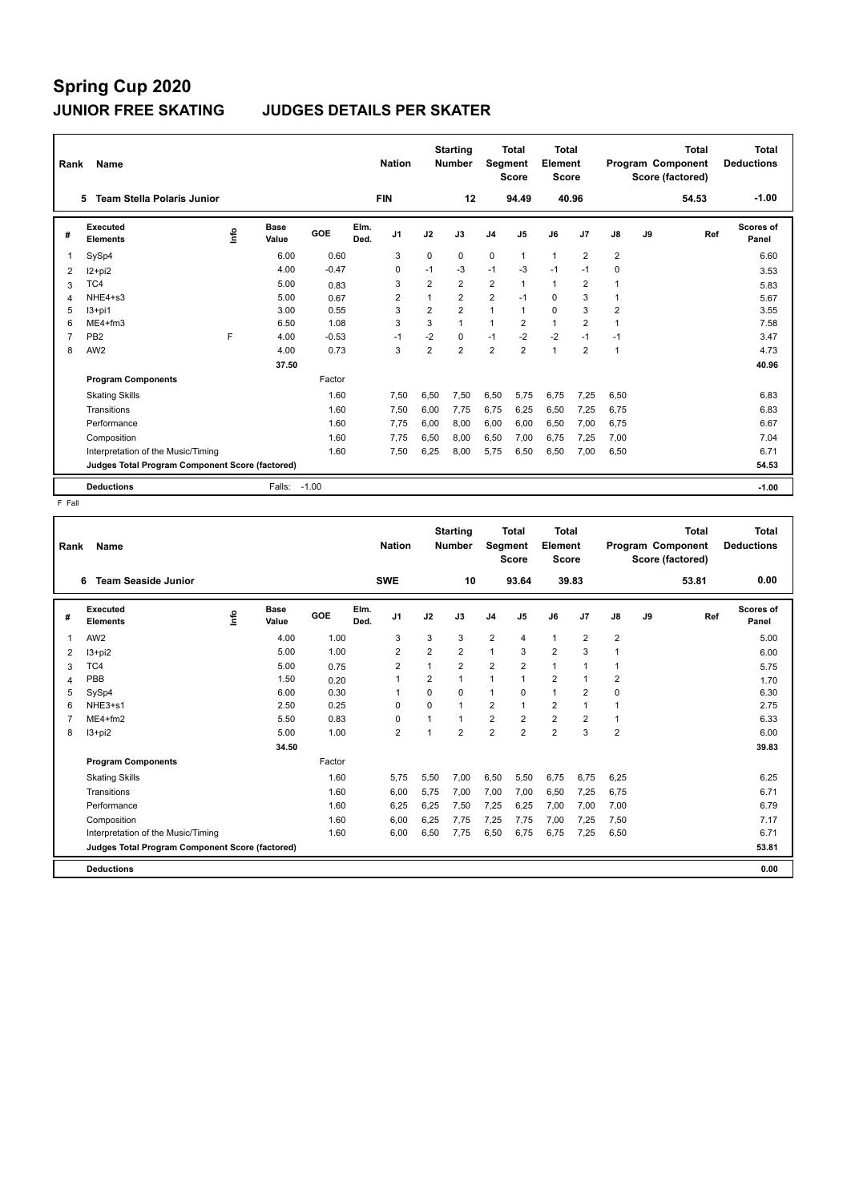## **Spring Cup 2020 JUNIOR FREE SKATING JUDGES DETAILS PER SKATER**

| Rank           | <b>Name</b>                                     |   |                      |         |              | <b>Nation</b>  |                | <b>Starting</b><br><b>Number</b> | Segment        | Total<br><b>Score</b> | Total<br>Element<br><b>Score</b> |                |                |    | <b>Total</b><br>Program Component<br>Score (factored) | Total<br><b>Deductions</b> |
|----------------|-------------------------------------------------|---|----------------------|---------|--------------|----------------|----------------|----------------------------------|----------------|-----------------------|----------------------------------|----------------|----------------|----|-------------------------------------------------------|----------------------------|
|                | <b>Team Stella Polaris Junior</b><br>5          |   |                      |         |              | <b>FIN</b>     |                | 12                               |                | 94.49                 | 40.96                            |                |                |    | 54.53                                                 | $-1.00$                    |
| #              | Executed<br><b>Elements</b>                     | ۴ | <b>Base</b><br>Value | GOE     | Elm.<br>Ded. | J <sub>1</sub> | J2             | J3                               | J <sub>4</sub> | J <sub>5</sub>        | J6                               | J7             | J8             | J9 | Ref                                                   | Scores of<br>Panel         |
| -1             | SySp4                                           |   | 6.00                 | 0.60    |              | 3              | $\Omega$       | $\Omega$                         | $\mathbf 0$    | 1                     | $\overline{1}$                   | $\overline{2}$ | $\overline{2}$ |    |                                                       | 6.60                       |
| 2              | $12+pi2$                                        |   | 4.00                 | $-0.47$ |              | 0              | $-1$           | $-3$                             | $-1$           | $-3$                  | $-1$                             | $-1$           | $\Omega$       |    |                                                       | 3.53                       |
| 3              | TC4                                             |   | 5.00                 | 0.83    |              | 3              | $\overline{2}$ | $\overline{2}$                   | $\overline{2}$ | 1                     | $\mathbf{1}$                     | $\overline{2}$ |                |    |                                                       | 5.83                       |
| $\overline{4}$ | NHE4+s3                                         |   | 5.00                 | 0.67    |              | $\overline{2}$ | $\overline{1}$ | $\overline{2}$                   | $\overline{2}$ | $-1$                  | $\mathbf 0$                      | 3              |                |    |                                                       | 5.67                       |
| 5              | $13+pi1$                                        |   | 3.00                 | 0.55    |              | 3              | $\overline{2}$ | $\overline{2}$                   | $\mathbf{1}$   | $\overline{1}$        | $\Omega$                         | 3              | 2              |    |                                                       | 3.55                       |
| 6              | $ME4 + fm3$                                     |   | 6.50                 | 1.08    |              | 3              | 3              | $\mathbf{1}$                     | $\mathbf{1}$   | $\overline{2}$        | $\mathbf{1}$                     | $\overline{2}$ | 1              |    |                                                       | 7.58                       |
| $\overline{7}$ | PB <sub>2</sub>                                 | F | 4.00                 | $-0.53$ |              | $-1$           | $-2$           | 0                                | $-1$           | $-2$                  | $-2$                             | $-1$           | $-1$           |    |                                                       | 3.47                       |
| 8              | AW <sub>2</sub>                                 |   | 4.00                 | 0.73    |              | 3              | $\overline{2}$ | $\overline{2}$                   | $\overline{2}$ | $\overline{2}$        | $\mathbf{1}$                     | $\overline{2}$ | 1              |    |                                                       | 4.73                       |
|                |                                                 |   | 37.50                |         |              |                |                |                                  |                |                       |                                  |                |                |    |                                                       | 40.96                      |
|                | <b>Program Components</b>                       |   |                      | Factor  |              |                |                |                                  |                |                       |                                  |                |                |    |                                                       |                            |
|                | <b>Skating Skills</b>                           |   |                      | 1.60    |              | 7.50           | 6,50           | 7,50                             | 6,50           | 5,75                  | 6.75                             | 7,25           | 6,50           |    |                                                       | 6.83                       |
|                | Transitions                                     |   |                      | 1.60    |              | 7.50           | 6.00           | 7.75                             | 6,75           | 6,25                  | 6.50                             | 7,25           | 6.75           |    |                                                       | 6.83                       |
|                | Performance                                     |   |                      | 1.60    |              | 7.75           | 6.00           | 8.00                             | 6,00           | 6.00                  | 6.50                             | 7,00           | 6.75           |    |                                                       | 6.67                       |
|                | Composition                                     |   |                      | 1.60    |              | 7,75           | 6,50           | 8,00                             | 6,50           | 7,00                  | 6,75                             | 7,25           | 7,00           |    |                                                       | 7.04                       |
|                | Interpretation of the Music/Timing              |   |                      | 1.60    |              | 7.50           | 6,25           | 8,00                             | 5,75           | 6,50                  | 6.50                             | 7,00           | 6,50           |    |                                                       | 6.71                       |
|                | Judges Total Program Component Score (factored) |   |                      |         |              |                |                |                                  |                |                       |                                  |                |                |    |                                                       | 54.53                      |
|                | <b>Deductions</b>                               |   | Falls:               | $-1.00$ |              |                |                |                                  |                |                       |                                  |                |                |    |                                                       | $-1.00$                    |

| Rank | <b>Name</b>                                     |    |               |        |              | <b>Nation</b>  |                          | <b>Starting</b><br><b>Number</b> | Segment        | <b>Total</b><br><b>Score</b> | Total<br>Element<br>Score |                |                |    | <b>Total</b><br>Program Component<br>Score (factored) | <b>Total</b><br><b>Deductions</b> |
|------|-------------------------------------------------|----|---------------|--------|--------------|----------------|--------------------------|----------------------------------|----------------|------------------------------|---------------------------|----------------|----------------|----|-------------------------------------------------------|-----------------------------------|
|      | <b>Team Seaside Junior</b><br>6                 |    |               |        |              | <b>SWE</b>     |                          | 10                               |                | 93.64                        |                           | 39.83          |                |    | 53.81                                                 | 0.00                              |
| #    | Executed<br><b>Elements</b>                     | ۴ů | Base<br>Value | GOE    | Elm.<br>Ded. | J <sub>1</sub> | J2                       | J3                               | J <sub>4</sub> | J <sub>5</sub>               | J6                        | J7             | J8             | J9 | Ref                                                   | Scores of<br>Panel                |
| 1    | AW <sub>2</sub>                                 |    | 4.00          | 1.00   |              | 3              | 3                        | 3                                | $\overline{2}$ | $\overline{4}$               | $\mathbf{1}$              | $\overline{2}$ | $\overline{2}$ |    |                                                       | 5.00                              |
| 2    | $13 + pi2$                                      |    | 5.00          | 1.00   |              | $\overline{2}$ | 2                        | $\overline{2}$                   | $\overline{1}$ | 3                            | $\overline{2}$            | 3              |                |    |                                                       | 6.00                              |
| 3    | TC4                                             |    | 5.00          | 0.75   |              | 2              | $\overline{ }$           | $\overline{2}$                   | $\overline{2}$ | $\overline{2}$               | $\mathbf{1}$              | 1              |                |    |                                                       | 5.75                              |
| 4    | PBB                                             |    | 1.50          | 0.20   |              | $\mathbf{1}$   | 2                        | $\mathbf{1}$                     | $\mathbf{1}$   | $\mathbf{1}$                 | $\overline{2}$            | $\mathbf{1}$   | 2              |    |                                                       | 1.70                              |
| 5    | SySp4                                           |    | 6.00          | 0.30   |              | $\mathbf 1$    | 0                        | 0                                | $\mathbf{1}$   | 0                            | $\mathbf{1}$              | 2              | 0              |    |                                                       | 6.30                              |
| 6    | $NHE3+s1$                                       |    | 2.50          | 0.25   |              | $\Omega$       | $\Omega$                 | 1                                | $\overline{2}$ | $\mathbf{1}$                 | $\overline{2}$            | $\overline{1}$ |                |    |                                                       | 2.75                              |
|      | $ME4 + fm2$                                     |    | 5.50          | 0.83   |              | $\Omega$       |                          | $\mathbf{1}$                     | 2              | 2                            | $\overline{2}$            | $\overline{2}$ |                |    |                                                       | 6.33                              |
| 8    | $13 + pi2$                                      |    | 5.00          | 1.00   |              | $\overline{2}$ | $\overline{\phantom{a}}$ | $\overline{2}$                   | $\overline{2}$ | $\overline{2}$               | $\overline{2}$            | 3              | $\overline{2}$ |    |                                                       | 6.00                              |
|      |                                                 |    | 34.50         |        |              |                |                          |                                  |                |                              |                           |                |                |    |                                                       | 39.83                             |
|      | <b>Program Components</b>                       |    |               | Factor |              |                |                          |                                  |                |                              |                           |                |                |    |                                                       |                                   |
|      | <b>Skating Skills</b>                           |    |               | 1.60   |              | 5,75           | 5,50                     | 7,00                             | 6,50           | 5,50                         | 6,75                      | 6,75           | 6,25           |    |                                                       | 6.25                              |
|      | Transitions                                     |    |               | 1.60   |              | 6,00           | 5,75                     | 7,00                             | 7,00           | 7,00                         | 6,50                      | 7,25           | 6,75           |    |                                                       | 6.71                              |
|      | Performance                                     |    |               | 1.60   |              | 6,25           | 6,25                     | 7,50                             | 7,25           | 6,25                         | 7,00                      | 7,00           | 7,00           |    |                                                       | 6.79                              |
|      | Composition                                     |    |               | 1.60   |              | 6,00           | 6,25                     | 7,75                             | 7,25           | 7,75                         | 7,00                      | 7,25           | 7,50           |    |                                                       | 7.17                              |
|      | Interpretation of the Music/Timing              |    |               | 1.60   |              | 6.00           | 6,50                     | 7,75                             | 6,50           | 6,75                         | 6.75                      | 7,25           | 6,50           |    |                                                       | 6.71                              |
|      | Judges Total Program Component Score (factored) |    |               |        |              |                |                          |                                  |                |                              |                           |                |                |    |                                                       | 53.81                             |
|      | <b>Deductions</b>                               |    |               |        |              |                |                          |                                  |                |                              |                           |                |                |    |                                                       | 0.00                              |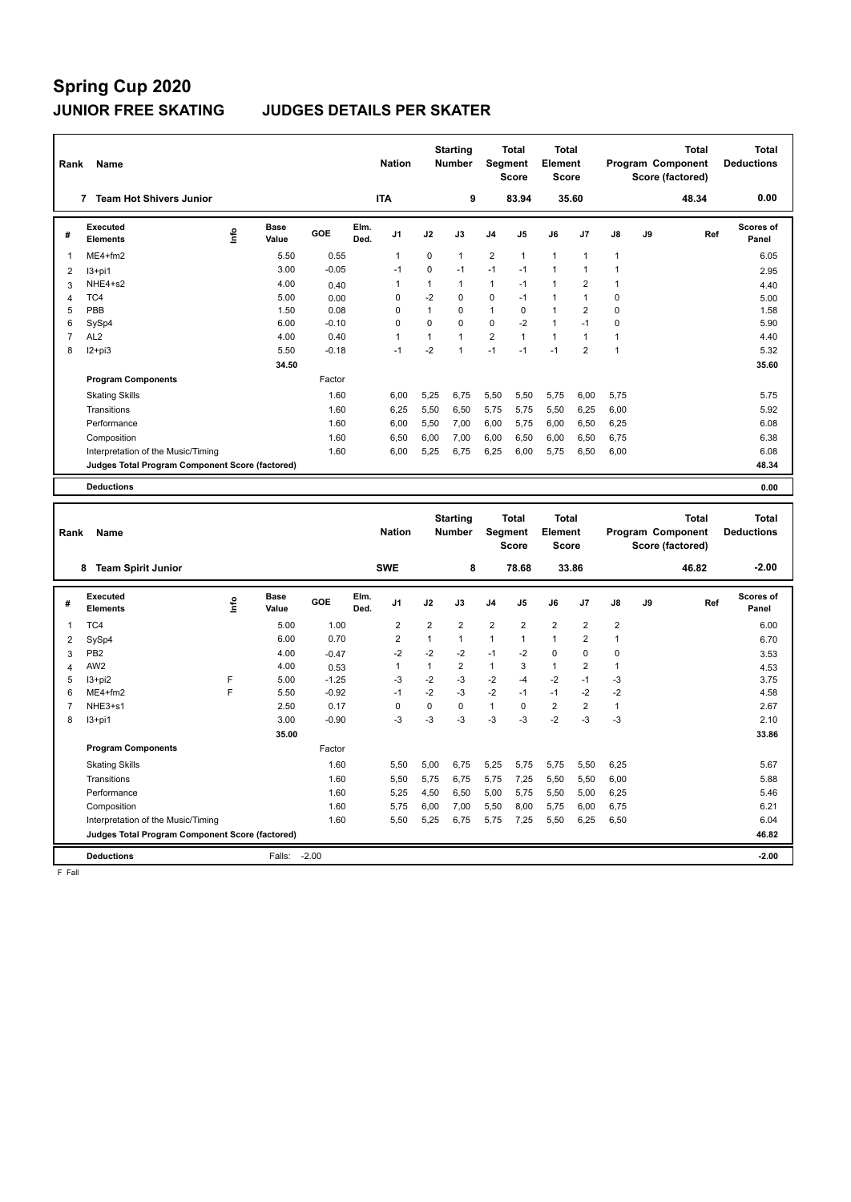### **JUNIOR FREE SKATING JUDGES DETAILS PER SKATER**

| Rank           | Name                                            |      |               |                 |              | <b>Nation</b>  |                | <b>Starting</b><br>Number |                | <b>Total</b><br>Segment<br><b>Score</b> | <b>Total</b><br>Element<br><b>Score</b> |                |              |    | <b>Total</b><br>Program Component<br>Score (factored) |     | <b>Total</b><br><b>Deductions</b> |
|----------------|-------------------------------------------------|------|---------------|-----------------|--------------|----------------|----------------|---------------------------|----------------|-----------------------------------------|-----------------------------------------|----------------|--------------|----|-------------------------------------------------------|-----|-----------------------------------|
|                | 7 Team Hot Shivers Junior                       |      |               |                 |              | <b>ITA</b>     |                | 9                         |                | 83.94                                   |                                         | 35.60          |              |    | 48.34                                                 |     | 0.00                              |
| #              | <b>Executed</b><br><b>Elements</b>              | lnfo | Base<br>Value | <b>GOE</b>      | Elm.<br>Ded. | J1             | J2             | J3                        | J4             | J5                                      | J6                                      | J7             | J8           | J9 |                                                       | Ref | Scores of<br>Panel                |
| 1              | ME4+fm2                                         |      | 5.50          | 0.55            |              | 1              | 0              | 1                         | $\overline{2}$ | 1                                       | $\mathbf{1}$                            | $\mathbf{1}$   | 1            |    |                                                       |     | 6.05                              |
| 2              | $13+pi1$                                        |      | 3.00          | $-0.05$         |              | $-1$           | $\pmb{0}$      | $-1$                      | $-1$           | $-1$                                    | $\mathbf{1}$                            | $\overline{1}$ | 1            |    |                                                       |     | 2.95                              |
| 3              | NHE4+s2                                         |      | 4.00          | 0.40            |              | $\overline{1}$ | $\mathbf{1}$   | $\mathbf{1}$              | $\mathbf{1}$   | $-1$                                    | $\mathbf{1}$                            | $\overline{2}$ | 1            |    |                                                       |     | 4.40                              |
| $\overline{4}$ | TC4                                             |      | 5.00          | 0.00            |              | $\mathbf 0$    | $-2$           | $\mathbf 0$               | 0              | $-1$                                    | $\mathbf{1}$                            | $\mathbf{1}$   | $\mathbf 0$  |    |                                                       |     | 5.00                              |
| 5              | PBB                                             |      | 1.50          | 0.08            |              | $\mathbf 0$    | $\mathbf{1}$   | 0                         | $\mathbf{1}$   | $\mathbf 0$                             | $\mathbf{1}$                            | $\overline{2}$ | $\mathbf 0$  |    |                                                       |     | 1.58                              |
| 6              | SySp4                                           |      | 6.00          | $-0.10$         |              | $\mathbf 0$    | $\mathbf 0$    | $\mathbf 0$               | 0              | $-2$                                    | $\mathbf{1}$                            | $-1$           | $\mathbf 0$  |    |                                                       |     | 5.90                              |
| $\overline{7}$ | AL <sub>2</sub>                                 |      | 4.00          | 0.40            |              | $\mathbf{1}$   | $\mathbf{1}$   | $\mathbf{1}$              | $\overline{2}$ | $\mathbf{1}$                            | $\mathbf{1}$                            | $\mathbf{1}$   | $\mathbf{1}$ |    |                                                       |     | 4.40                              |
| 8              | $12 + pi3$                                      |      | 5.50          | $-0.18$         |              | $-1$           | $-2$           | $\mathbf{1}$              | $-1$           | $-1$                                    | $-1$                                    | $\overline{2}$ | $\mathbf{1}$ |    |                                                       |     | 5.32                              |
|                |                                                 |      | 34.50         |                 |              |                |                |                           |                |                                         |                                         |                |              |    |                                                       |     | 35.60                             |
|                | <b>Program Components</b>                       |      |               | Factor          |              |                |                |                           |                |                                         |                                         |                |              |    |                                                       |     |                                   |
|                | <b>Skating Skills</b>                           |      |               | 1.60            |              | 6,00           | 5,25           | 6,75                      | 5,50           | 5,50                                    | 5,75                                    | 6,00           | 5,75         |    |                                                       |     | 5.75                              |
|                | Transitions                                     |      |               | 1.60            |              | 6,25           | 5,50           | 6,50                      | 5,75           | 5,75                                    | 5,50                                    | 6,25           | 6,00         |    |                                                       |     | 5.92                              |
|                | Performance                                     |      |               | 1.60            |              | 6,00           | 5,50           | 7,00                      | 6,00           | 5,75                                    | 6,00                                    | 6,50           | 6,25         |    |                                                       |     | 6.08                              |
|                | Composition                                     |      |               | 1.60            |              | 6,50           | 6,00           | 7,00                      | 6,00           | 6,50                                    | 6,00                                    | 6,50           | 6,75         |    |                                                       |     | 6.38                              |
|                | Interpretation of the Music/Timing              |      |               | 1.60            |              | 6,00           | 5,25           | 6,75                      | 6,25           | 6,00                                    | 5,75                                    | 6,50           | 6,00         |    |                                                       |     | 6.08                              |
|                | Judges Total Program Component Score (factored) |      |               |                 |              |                |                |                           |                |                                         |                                         |                |              |    |                                                       |     | 48.34                             |
|                | <b>Deductions</b>                               |      |               |                 |              |                |                |                           |                |                                         |                                         |                |              |    |                                                       |     | 0.00                              |
|                |                                                 |      |               |                 |              |                |                |                           |                |                                         |                                         |                |              |    |                                                       |     |                                   |
|                |                                                 |      |               |                 |              |                |                | <b>Starting</b>           |                | <b>Total</b>                            | <b>Total</b>                            |                |              |    | <b>Total</b>                                          |     | <b>Total</b>                      |
| Rank           | Name                                            |      |               |                 |              | <b>Nation</b>  |                | Number                    |                | <b>Segment</b><br><b>Score</b>          | Element<br><b>Score</b>                 |                |              |    | Program Component<br>Score (factored)                 |     | <b>Deductions</b>                 |
|                | 8 Team Spirit Junior                            |      |               |                 |              | <b>SWE</b>     |                | 8                         |                | 78.68                                   |                                         | 33.86          |              |    | 46.82                                                 |     | $-2.00$                           |
| #              | <b>Executed</b><br><b>Elements</b>              | lnfo | Base<br>Value | <b>GOE</b>      | Elm.<br>Ded. | J1             | J2             | J3                        | J4             | J5                                      | J6                                      | J7             | J8           | J9 |                                                       | Ref | <b>Scores of</b><br>Panel         |
| 1              | TC4                                             |      | 5.00          | 1.00            |              | $\overline{2}$ | $\overline{2}$ | 2                         | $\overline{2}$ | 2                                       | $\overline{2}$                          | $\overline{2}$ | 2            |    |                                                       |     | 6.00                              |
|                |                                                 |      | 6.00          | 0.70            |              | $\overline{2}$ | $\mathbf{1}$   | $\mathbf{1}$              | $\mathbf{1}$   | $\mathbf{1}$                            | $\mathbf{1}$                            | $\overline{2}$ | $\mathbf{1}$ |    |                                                       |     |                                   |
| 2              | SySp4<br>PB <sub>2</sub>                        |      | 4.00          |                 |              | $-2$           | $-2$           | -2                        | $-1$           | -2                                      | 0                                       | $\Omega$       | $\Omega$     |    |                                                       |     | 6.70                              |
| 3              | AW <sub>2</sub>                                 |      | 4.00          | $-0.47$         |              | $\mathbf{1}$   | $\mathbf{1}$   | $\overline{2}$            | $\mathbf{1}$   | 3                                       | $\mathbf{1}$                            | $\overline{2}$ | $\mathbf{1}$ |    |                                                       |     | 3.53                              |
| 4<br>5         | $13+pi2$                                        | F    | 5.00          | 0.53<br>$-1.25$ |              | $-3$           | $-2$           | -3                        | $-2$           | $-4$                                    | $-2$                                    | $-1$           | $-3$         |    |                                                       |     | 4.53<br>3.75                      |
| 6              | ME4+fm2                                         | E    | 5.50          | $-0.92$         |              | $-1$           | $-2$           | $-3$                      | $-2$           | $-1$                                    | $-1$                                    | $-2$           | $-2$         |    |                                                       |     | 4.58                              |
| $\overline{7}$ | NHE3+s1                                         |      | 2.50          | 0.17            |              | $\mathbf 0$    | $\mathbf 0$    | 0                         | $\mathbf{1}$   | $\mathbf 0$                             | $\overline{2}$                          | $\overline{2}$ | $\mathbf{1}$ |    |                                                       |     | 2.67                              |
| 8              | $13+pi1$                                        |      | 3.00          | $-0.90$         |              | $-3$           | $-3$           | $-3$                      | $-3$           | $-3$                                    | $-2$                                    | $-3$           | $-3$         |    |                                                       |     | 2.10                              |
|                |                                                 |      | 35.00         |                 |              |                |                |                           |                |                                         |                                         |                |              |    |                                                       |     | 33.86                             |
|                | <b>Program Components</b>                       |      |               | Factor          |              |                |                |                           |                |                                         |                                         |                |              |    |                                                       |     |                                   |
|                | <b>Skating Skills</b>                           |      |               | 1.60            |              | 5,50           | 5,00           | 6,75                      | 5,25           | 5,75                                    | 5,75                                    | 5,50           | 6,25         |    |                                                       |     | 5.67                              |
|                | Transitions                                     |      |               | 1.60            |              | 5,50           | 5,75           | 6,75                      | 5,75           | 7,25                                    | 5,50                                    | 5,50           | 6,00         |    |                                                       |     | 5.88                              |
|                | Performance                                     |      |               | 1.60            |              | 5,25           | 4,50           | 6,50                      | 5,00           | 5,75                                    | 5,50                                    | 5,00           | 6,25         |    |                                                       |     | 5.46                              |
|                | Composition                                     |      |               | 1.60            |              | 5,75           | 6,00           | 7,00                      | 5,50           | 8,00                                    | 5,75                                    | 6,00           | 6,75         |    |                                                       |     | 6.21                              |

**Deductions** Falls: -2.00 **-2.00 Judges Total Program Component Score (factored) 46.82**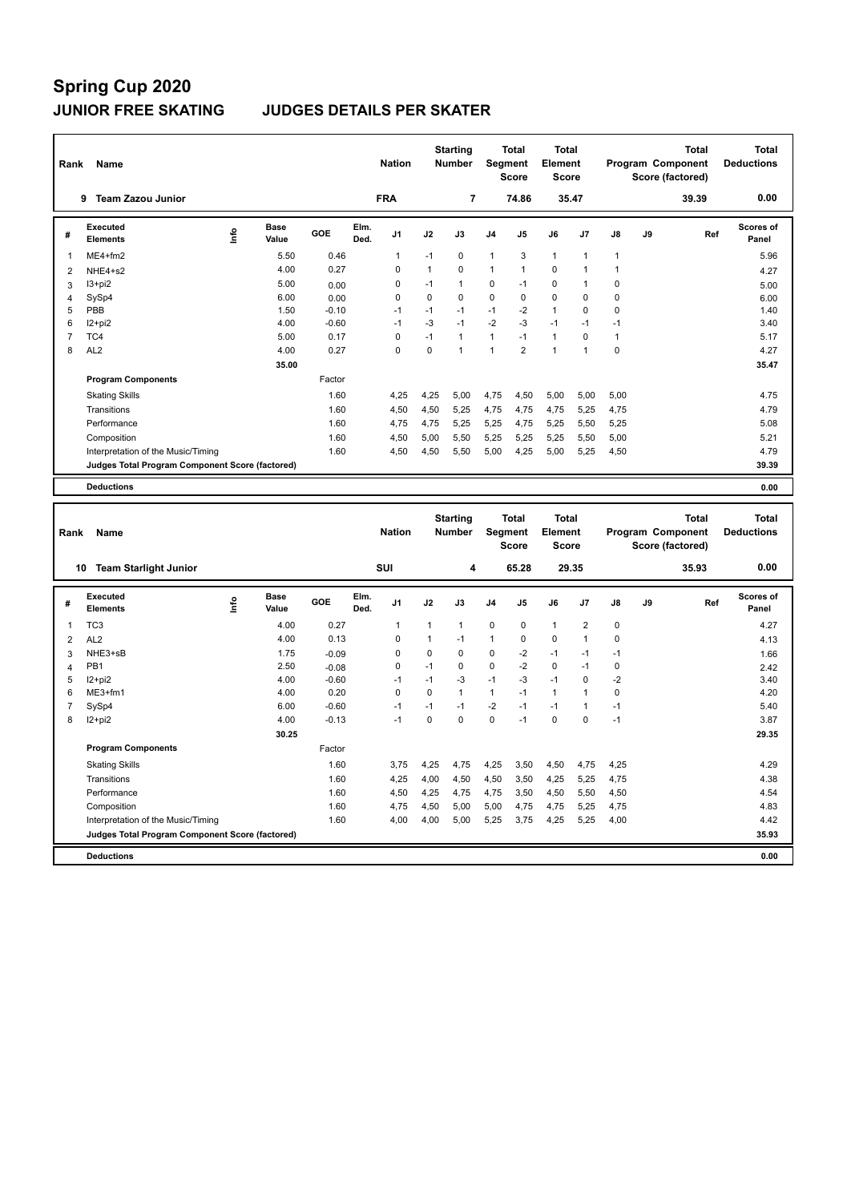### **JUNIOR FREE SKATING JUDGES DETAILS PER SKATER**

| Rank           | Name                                            |      |               |         |              | <b>Nation</b> |              | <b>Starting</b><br><b>Number</b> |              | Total<br>Segment<br><b>Score</b> | <b>Total</b><br>Element<br><b>Score</b> |                         |              |    | <b>Total</b><br>Program Component<br>Score (factored) | <b>Total</b><br><b>Deductions</b> |
|----------------|-------------------------------------------------|------|---------------|---------|--------------|---------------|--------------|----------------------------------|--------------|----------------------------------|-----------------------------------------|-------------------------|--------------|----|-------------------------------------------------------|-----------------------------------|
|                | 9 Team Zazou Junior                             |      |               |         |              | <b>FRA</b>    |              | $\overline{7}$                   |              | 74.86                            |                                         | 35.47                   |              |    | 39.39                                                 | 0.00                              |
| #              | <b>Executed</b><br><b>Elements</b>              | ۴    | Base<br>Value | GOE     | Elm.<br>Ded. | J1            | J2           | J3                               | J4           | J5                               | J6                                      | J7                      | J8           | J9 | Ref                                                   | <b>Scores of</b><br>Panel         |
| 1              | ME4+fm2                                         |      | 5.50          | 0.46    |              | $\mathbf{1}$  | $-1$         | $\mathbf 0$                      | $\mathbf{1}$ | 3                                | $\mathbf{1}$                            | $\mathbf{1}$            | $\mathbf{1}$ |    |                                                       | 5.96                              |
| $\overline{2}$ | NHE4+s2                                         |      | 4.00          | 0.27    |              | 0             | $\mathbf{1}$ | $\mathbf 0$                      | 1            | 1                                | $\mathbf 0$                             | $\overline{1}$          | 1            |    |                                                       | 4.27                              |
| 3              | $13 + pi2$                                      |      | 5.00          | 0.00    |              | 0             | $-1$         | $\mathbf{1}$                     | 0            | $-1$                             | $\mathbf 0$                             | $\mathbf{1}$            | $\mathbf 0$  |    |                                                       | 5.00                              |
| $\overline{4}$ | SySp4                                           |      | 6.00          | 0.00    |              | 0             | $\pmb{0}$    | $\mathbf 0$                      | $\mathbf 0$  | $\pmb{0}$                        | $\mathbf 0$                             | $\mathbf 0$             | $\pmb{0}$    |    |                                                       | 6.00                              |
| 5              | PBB                                             |      | 1.50          | $-0.10$ |              | $-1$          | $-1$         | $-1$                             | $-1$         | $-2$                             | $\mathbf{1}$                            | 0                       | $\mathbf 0$  |    |                                                       | 1.40                              |
| 6              | $12 + pi2$                                      |      | 4.00          | $-0.60$ |              | $-1$          | $-3$         | $-1$                             | $-2$         | $-3$                             | $-1$                                    | $-1$                    | $-1$         |    |                                                       | 3.40                              |
| $\overline{7}$ | TC4                                             |      | 5.00          | 0.17    |              | $\pmb{0}$     | $-1$         | $\mathbf{1}$                     | $\mathbf{1}$ | $-1$                             | $\mathbf{1}$                            | $\mathbf 0$             | $\mathbf{1}$ |    |                                                       | 5.17                              |
| 8              | AL <sub>2</sub>                                 |      | 4.00          | 0.27    |              | 0             | 0            | $\mathbf{1}$                     | 1            | $\overline{2}$                   | $\mathbf{1}$                            | $\mathbf{1}$            | $\mathbf 0$  |    |                                                       | 4.27                              |
|                |                                                 |      | 35.00         |         |              |               |              |                                  |              |                                  |                                         |                         |              |    |                                                       | 35.47                             |
|                | <b>Program Components</b>                       |      |               | Factor  |              |               |              |                                  |              |                                  |                                         |                         |              |    |                                                       |                                   |
|                | <b>Skating Skills</b>                           |      |               | 1.60    |              | 4,25          | 4,25         | 5,00                             | 4,75         | 4,50                             | 5,00                                    | 5,00                    | 5,00         |    |                                                       | 4.75                              |
|                | Transitions                                     |      |               | 1.60    |              | 4,50          | 4,50         | 5,25                             | 4,75         | 4,75                             | 4,75                                    | 5,25                    | 4,75         |    |                                                       | 4.79                              |
|                | Performance                                     |      |               | 1.60    |              | 4,75          | 4,75         | 5,25                             | 5,25         | 4,75                             | 5,25                                    | 5,50                    | 5,25         |    |                                                       | 5.08                              |
|                | Composition                                     |      |               | 1.60    |              | 4,50          | 5,00         | 5,50                             | 5,25         | 5,25                             | 5,25                                    | 5,50                    | 5,00         |    |                                                       | 5.21                              |
|                | Interpretation of the Music/Timing              |      |               | 1.60    |              | 4,50          | 4,50         | 5,50                             | 5,00         | 4,25                             | 5,00                                    | 5,25                    | 4,50         |    |                                                       | 4.79                              |
|                | Judges Total Program Component Score (factored) |      |               |         |              |               |              |                                  |              |                                  |                                         |                         |              |    |                                                       | 39.39                             |
|                | <b>Deductions</b>                               |      |               |         |              |               |              |                                  |              |                                  |                                         |                         |              |    |                                                       | 0.00                              |
|                |                                                 |      |               |         |              |               |              |                                  |              |                                  |                                         |                         |              |    |                                                       |                                   |
|                |                                                 |      |               |         |              |               |              | <b>Starting</b>                  |              | Total                            | <b>Total</b>                            |                         |              |    | <b>Total</b>                                          | <b>Total</b>                      |
| Rank           | Name                                            |      |               |         |              |               |              |                                  |              | Segment                          | Element                                 |                         |              |    |                                                       |                                   |
|                |                                                 |      |               |         |              | <b>Nation</b> |              | Number                           |              |                                  |                                         |                         |              |    |                                                       | <b>Deductions</b>                 |
|                |                                                 |      |               |         |              |               |              |                                  |              | <b>Score</b>                     | <b>Score</b>                            |                         |              |    | Program Component                                     |                                   |
|                |                                                 |      |               |         |              |               |              |                                  |              |                                  |                                         |                         |              |    | Score (factored)                                      |                                   |
|                | 10 Team Starlight Junior                        |      |               |         |              | SUI           |              | 4                                |              | 65.28                            | 29.35                                   |                         |              |    | 35.93                                                 | 0.00                              |
|                | <b>Executed</b>                                 |      | <b>Base</b>   |         | Elm.         |               |              |                                  |              |                                  |                                         |                         |              |    |                                                       | <b>Scores of</b>                  |
| #              | <b>Elements</b>                                 | ١nfo | Value         | GOE     | Ded.         | J1            | J2           | J3                               | J4           | J5                               | J6                                      | J7                      | J8           | J9 | Ref                                                   | Panel                             |
| $\mathbf{1}$   | TC <sub>3</sub>                                 |      | 4.00          | 0.27    |              | 1             | 1            | $\mathbf{1}$                     | 0            | $\pmb{0}$                        | $\mathbf{1}$                            | $\overline{\mathbf{c}}$ | $\mathbf 0$  |    |                                                       | 4.27                              |
| $\overline{2}$ | AL <sub>2</sub>                                 |      | 4.00          | 0.13    |              | 0             | $\mathbf{1}$ | $-1$                             | $\mathbf{1}$ | 0                                | $\mathbf 0$                             | $\mathbf{1}$            | $\mathbf 0$  |    |                                                       | 4.13                              |
| 3              | NHE3+sB                                         |      | 1.75          | $-0.09$ |              | 0             | 0            | $\mathbf 0$                      | 0            | $-2$                             | $-1$                                    | $-1$                    | $-1$         |    |                                                       | 1.66                              |
| $\overline{4}$ | PB <sub>1</sub>                                 |      | 2.50          | $-0.08$ |              | 0             | $-1$         | $\mathbf 0$                      | $\mathbf 0$  | $-2$                             | $\mathbf 0$                             | $-1$                    | $\mathbf 0$  |    |                                                       | 2.42                              |
| 5              | $12 + pi2$                                      |      | 4.00          | $-0.60$ |              | $-1$          | $-1$         | $-3$                             | $-1$         | $-3$                             | $-1$                                    | $\mathbf 0$             | $-2$         |    |                                                       | 3.40                              |
| 6              | ME3+fm1                                         |      | 4.00          | 0.20    |              | $\mathbf 0$   | 0            | $\mathbf{1}$                     | $\mathbf{1}$ | $-1$                             | $\mathbf{1}$                            | $\mathbf{1}$            | $\mathbf 0$  |    |                                                       | 4.20                              |
| $\overline{7}$ | SySp4                                           |      | 6.00          | $-0.60$ |              | $-1$          | $-1$         | $-1$                             | $-2$         | $-1$                             | $-1$                                    | $\mathbf{1}$            | $-1$         |    |                                                       | 5.40                              |
| 8              | I2+pi2                                          |      | 4.00          | $-0.13$ |              | $-1$          | 0            | $\Omega$                         | $\mathbf 0$  | $-1$                             | $\mathbf 0$                             | $\mathbf 0$             | $-1$         |    |                                                       | 3.87                              |
|                |                                                 |      | 30.25         |         |              |               |              |                                  |              |                                  |                                         |                         |              |    |                                                       | 29.35                             |
|                | <b>Program Components</b>                       |      |               | Factor  |              |               |              |                                  |              |                                  |                                         |                         |              |    |                                                       |                                   |
|                | <b>Skating Skills</b>                           |      |               | 1.60    |              | 3,75          | 4,25         | 4,75                             | 4,25         | 3,50                             | 4,50                                    | 4,75                    | 4,25         |    |                                                       | 4.29                              |
|                | Transitions                                     |      |               | 1.60    |              | 4,25          | 4,00         | 4,50                             | 4,50         | 3,50                             | 4,25                                    | 5,25                    | 4,75         |    |                                                       | 4.38                              |
|                | Performance                                     |      |               | 1.60    |              | 4,50          | 4,25         | 4,75                             | 4,75         | 3,50                             | 4,50                                    | 5,50                    | 4,50         |    |                                                       | 4.54                              |
|                | Composition                                     |      |               | 1.60    |              | 4,75          | 4,50         | 5,00                             | 5,00         | 4,75                             | 4,75                                    | 5,25                    | 4,75         |    |                                                       | 4.83                              |
|                | Interpretation of the Music/Timing              |      |               | 1.60    |              | 4,00          | 4,00         | 5,00                             | 5,25         | 3,75                             | 4,25                                    | 5,25                    | 4,00         |    |                                                       | 4.42                              |

**Deductions 0.00**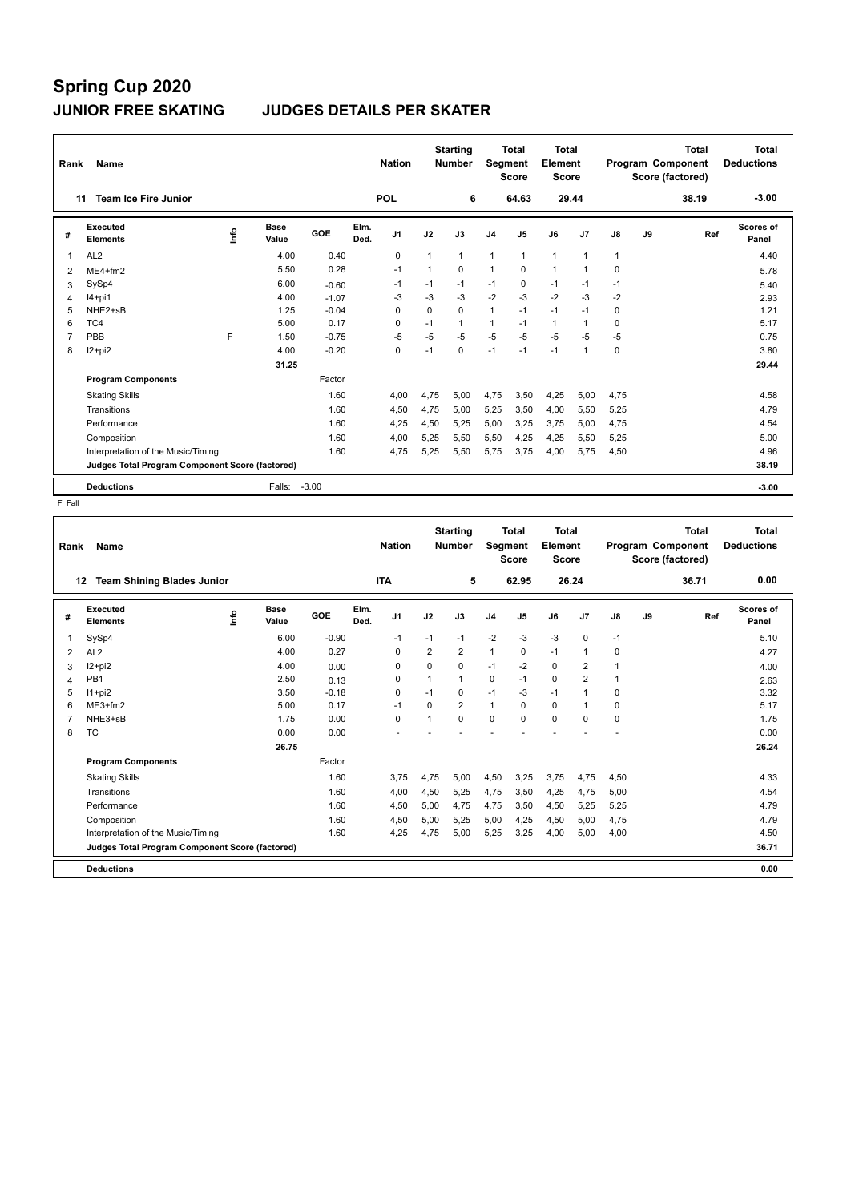## **Spring Cup 2020 JUNIOR FREE SKATING JUDGES DETAILS PER SKATER**

| Rank | Name                                            |    |                      |         |              | <b>Nation</b>  |          | <b>Starting</b><br><b>Number</b> | Segment        | Total<br><b>Score</b> | Total<br>Element<br><b>Score</b> |                |             |    | <b>Total</b><br>Program Component<br>Score (factored) | Total<br><b>Deductions</b> |
|------|-------------------------------------------------|----|----------------------|---------|--------------|----------------|----------|----------------------------------|----------------|-----------------------|----------------------------------|----------------|-------------|----|-------------------------------------------------------|----------------------------|
| 11   | <b>Team Ice Fire Junior</b>                     |    |                      |         |              | <b>POL</b>     |          | 6                                |                | 64.63                 | 29.44                            |                |             |    | 38.19                                                 | $-3.00$                    |
| #    | Executed<br><b>Elements</b>                     | ۴o | <b>Base</b><br>Value | GOE     | Elm.<br>Ded. | J <sub>1</sub> | J2       | J3                               | J <sub>4</sub> | J <sub>5</sub>        | J6                               | J <sub>7</sub> | J8          | J9 | Ref                                                   | <b>Scores of</b><br>Panel  |
| 1    | AL <sub>2</sub>                                 |    | 4.00                 | 0.40    |              | $\mathbf 0$    |          | $\mathbf{1}$                     | 1              | $\mathbf{1}$          | 1                                | $\overline{1}$ |             |    |                                                       | 4.40                       |
| 2    | $ME4 + fm2$                                     |    | 5.50                 | 0.28    |              | $-1$           | 1        | $\mathbf 0$                      | $\mathbf{1}$   | $\mathbf 0$           | $\mathbf{1}$                     | $\overline{1}$ | $\mathbf 0$ |    |                                                       | 5.78                       |
| 3    | SySp4                                           |    | 6.00                 | $-0.60$ |              | $-1$           | $-1$     | $-1$                             | $-1$           | $\mathbf 0$           | $-1$                             | $-1$           | $-1$        |    |                                                       | 5.40                       |
| 4    | $14+pi1$                                        |    | 4.00                 | $-1.07$ |              | $-3$           | $-3$     | $-3$                             | $-2$           | $-3$                  | $-2$                             | $-3$           | $-2$        |    |                                                       | 2.93                       |
| 5    | NHE2+sB                                         |    | 1.25                 | $-0.04$ |              | $\Omega$       | $\Omega$ | $\Omega$                         | $\mathbf{1}$   | $-1$                  | $-1$                             | $-1$           | $\Omega$    |    |                                                       | 1.21                       |
| 6    | TC4                                             |    | 5.00                 | 0.17    |              | $\Omega$       | $-1$     | $\mathbf{1}$                     | $\mathbf{1}$   | $-1$                  | $\mathbf{1}$                     | $\overline{1}$ | $\Omega$    |    |                                                       | 5.17                       |
| 7    | PBB                                             | F  | 1.50                 | $-0.75$ |              | $-5$           | $-5$     | $-5$                             | $-5$           | $-5$                  | $-5$                             | $-5$           | $-5$        |    |                                                       | 0.75                       |
| 8    | $12+pi2$                                        |    | 4.00                 | $-0.20$ |              | $\Omega$       | $-1$     | $\Omega$                         | $-1$           | $-1$                  | $-1$                             | $\overline{1}$ | $\Omega$    |    |                                                       | 3.80                       |
|      |                                                 |    | 31.25                |         |              |                |          |                                  |                |                       |                                  |                |             |    |                                                       | 29.44                      |
|      | <b>Program Components</b>                       |    |                      | Factor  |              |                |          |                                  |                |                       |                                  |                |             |    |                                                       |                            |
|      | <b>Skating Skills</b>                           |    |                      | 1.60    |              | 4.00           | 4,75     | 5,00                             | 4,75           | 3,50                  | 4,25                             | 5,00           | 4,75        |    |                                                       | 4.58                       |
|      | Transitions                                     |    |                      | 1.60    |              | 4,50           | 4,75     | 5,00                             | 5,25           | 3,50                  | 4,00                             | 5,50           | 5,25        |    |                                                       | 4.79                       |
|      | Performance                                     |    |                      | 1.60    |              | 4,25           | 4,50     | 5,25                             | 5,00           | 3,25                  | 3,75                             | 5,00           | 4,75        |    |                                                       | 4.54                       |
|      | Composition                                     |    |                      | 1.60    |              | 4,00           | 5,25     | 5,50                             | 5,50           | 4,25                  | 4,25                             | 5,50           | 5,25        |    |                                                       | 5.00                       |
|      | Interpretation of the Music/Timing              |    |                      | 1.60    |              | 4,75           | 5,25     | 5,50                             | 5,75           | 3,75                  | 4,00                             | 5,75           | 4,50        |    |                                                       | 4.96                       |
|      | Judges Total Program Component Score (factored) |    |                      |         |              |                |          |                                  |                |                       |                                  |                |             |    |                                                       | 38.19                      |
|      | <b>Deductions</b>                               |    | Falls:               | $-3.00$ |              |                |          |                                  |                |                       |                                  |                |             |    |                                                       | $-3.00$                    |

| Rank | <b>Name</b>                                     |    |               |         |              | <b>Nation</b>  |          | <b>Starting</b><br><b>Number</b> | <b>Segment</b> | <b>Total</b><br><b>Score</b> | Total<br>Element<br>Score |                |          |    | <b>Total</b><br>Program Component<br>Score (factored) | <b>Total</b><br><b>Deductions</b> |
|------|-------------------------------------------------|----|---------------|---------|--------------|----------------|----------|----------------------------------|----------------|------------------------------|---------------------------|----------------|----------|----|-------------------------------------------------------|-----------------------------------|
| 12   | <b>Team Shining Blades Junior</b>               |    |               |         |              | <b>ITA</b>     |          | 5                                |                | 62.95                        | 26.24                     |                |          |    | 36.71                                                 | 0.00                              |
| #    | Executed<br><b>Elements</b>                     | ۴ů | Base<br>Value | GOE     | Elm.<br>Ded. | J <sub>1</sub> | J2       | J3                               | J <sub>4</sub> | J <sub>5</sub>               | J6                        | J7             | J8       | J9 | Ref                                                   | Scores of<br>Panel                |
| 1    | SySp4                                           |    | 6.00          | $-0.90$ |              | $-1$           | $-1$     | $-1$                             | $-2$           | $-3$                         | $-3$                      | $\Omega$       | $-1$     |    |                                                       | 5.10                              |
| 2    | AL <sub>2</sub>                                 |    | 4.00          | 0.27    |              | $\Omega$       | 2        | $\overline{2}$                   | $\mathbf{1}$   | $\Omega$                     | $-1$                      | $\mathbf{1}$   | $\Omega$ |    |                                                       | 4.27                              |
| 3    | $12+pi2$                                        |    | 4.00          | 0.00    |              | $\mathbf 0$    | $\Omega$ | 0                                | $-1$           | $-2$                         | $\mathbf 0$               | 2              |          |    |                                                       | 4.00                              |
| 4    | PB <sub>1</sub>                                 |    | 2.50          | 0.13    |              | 0              | 1        | $\mathbf{1}$                     | $\mathbf 0$    | $-1$                         | $\mathbf 0$               | $\overline{2}$ |          |    |                                                       | 2.63                              |
| 5    | $11+pi2$                                        |    | 3.50          | $-0.18$ |              | 0              | $-1$     | 0                                | $-1$           | -3                           | $-1$                      | $\mathbf{1}$   | 0        |    |                                                       | 3.32                              |
| 6    | $ME3+fm2$                                       |    | 5.00          | 0.17    |              | $-1$           | $\Omega$ | $\overline{2}$                   | $\mathbf{1}$   | $\Omega$                     | $\mathbf 0$               | 1              | 0        |    |                                                       | 5.17                              |
|      | NHE3+sB                                         |    | 1.75          | 0.00    |              | $\Omega$       | 1        | $\Omega$                         | $\mathbf 0$    | $\Omega$                     | $\Omega$                  | $\Omega$       | $\Omega$ |    |                                                       | 1.75                              |
| 8    | <b>TC</b>                                       |    | 0.00          | 0.00    |              |                |          |                                  |                |                              |                           |                |          |    |                                                       | 0.00                              |
|      |                                                 |    | 26.75         |         |              |                |          |                                  |                |                              |                           |                |          |    |                                                       | 26.24                             |
|      | <b>Program Components</b>                       |    |               | Factor  |              |                |          |                                  |                |                              |                           |                |          |    |                                                       |                                   |
|      | <b>Skating Skills</b>                           |    |               | 1.60    |              | 3,75           | 4,75     | 5,00                             | 4,50           | 3,25                         | 3,75                      | 4,75           | 4,50     |    |                                                       | 4.33                              |
|      | Transitions                                     |    |               | 1.60    |              | 4,00           | 4,50     | 5,25                             | 4,75           | 3,50                         | 4,25                      | 4,75           | 5,00     |    |                                                       | 4.54                              |
|      | Performance                                     |    |               | 1.60    |              | 4,50           | 5,00     | 4,75                             | 4,75           | 3,50                         | 4,50                      | 5,25           | 5,25     |    |                                                       | 4.79                              |
|      | Composition                                     |    |               | 1.60    |              | 4,50           | 5,00     | 5,25                             | 5,00           | 4,25                         | 4,50                      | 5,00           | 4,75     |    |                                                       | 4.79                              |
|      | Interpretation of the Music/Timing              |    |               | 1.60    |              | 4,25           | 4,75     | 5.00                             | 5,25           | 3,25                         | 4,00                      | 5,00           | 4,00     |    |                                                       | 4.50                              |
|      | Judges Total Program Component Score (factored) |    |               |         |              |                |          |                                  |                |                              |                           |                |          |    |                                                       | 36.71                             |
|      | <b>Deductions</b>                               |    |               |         |              |                |          |                                  |                |                              |                           |                |          |    |                                                       | 0.00                              |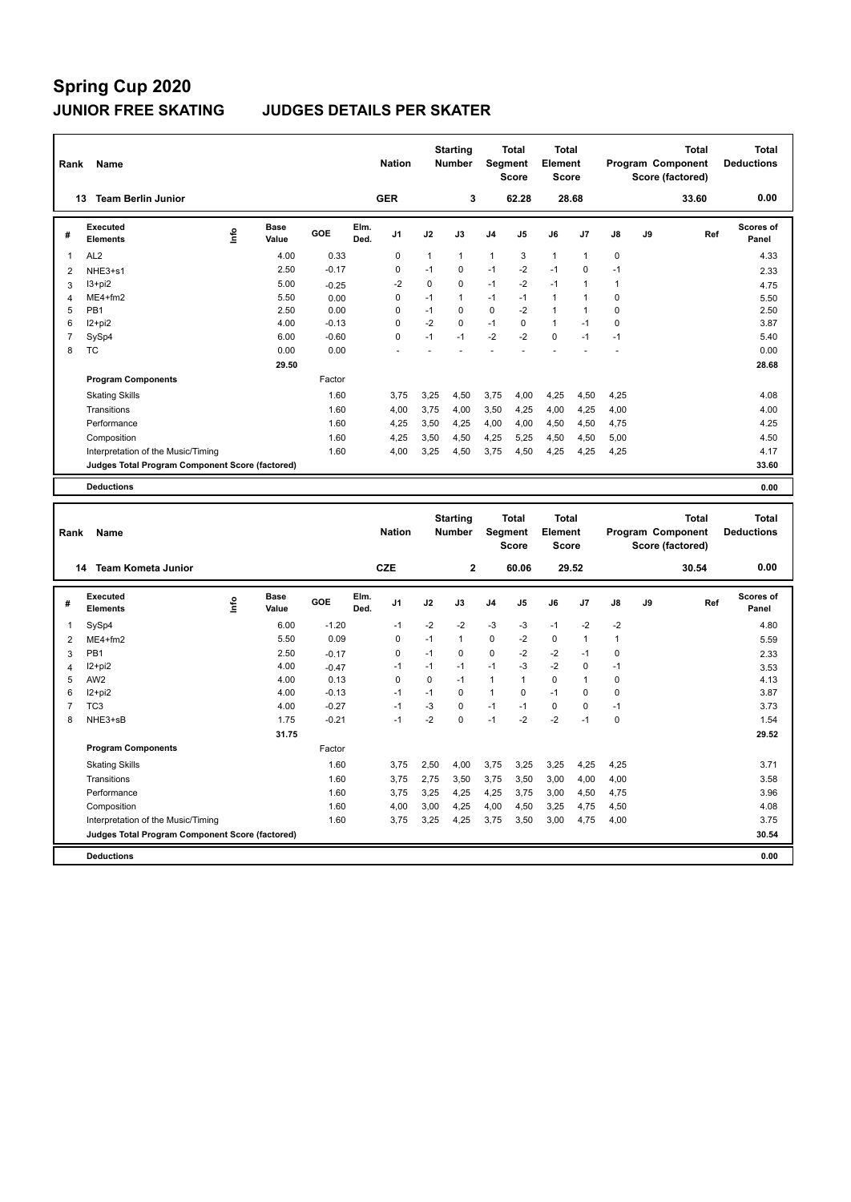### **JUNIOR FREE SKATING JUDGES DETAILS PER SKATER**

| Rank           | Name                                            |      |                      |         |              | <b>Nation</b> |              | <b>Starting</b><br><b>Number</b> |                | <b>Total</b><br>Segment<br><b>Score</b> | <b>Total</b><br><b>Element</b><br><b>Score</b> |                |              |    | <b>Total</b><br>Program Component<br>Score (factored) | <b>Total</b><br><b>Deductions</b> |
|----------------|-------------------------------------------------|------|----------------------|---------|--------------|---------------|--------------|----------------------------------|----------------|-----------------------------------------|------------------------------------------------|----------------|--------------|----|-------------------------------------------------------|-----------------------------------|
|                | 13 Team Berlin Junior                           |      |                      |         |              | <b>GER</b>    |              | 3                                |                | 62.28                                   |                                                | 28.68          |              |    | 33.60                                                 | 0.00                              |
| #              | <b>Executed</b><br><b>Elements</b>              | lnfo | Base<br>Value        | GOE     | Elm.<br>Ded. | J1            | J2           | J3                               | J4             | J5                                      | J6                                             | J7             | J8           | J9 | Ref                                                   | <b>Scores of</b><br>Panel         |
| $\mathbf{1}$   | AL <sub>2</sub>                                 |      | 4.00                 | 0.33    |              | $\pmb{0}$     | $\mathbf{1}$ | 1                                | 1              | 3                                       | $\mathbf{1}$                                   | $\overline{1}$ | 0            |    |                                                       | 4.33                              |
| $\overline{2}$ | NHE3+s1                                         |      | 2.50                 | $-0.17$ |              | 0             | $-1$         | $\mathbf 0$                      | $-1$           | $-2$                                    | $-1$                                           | $\mathbf 0$    | $-1$         |    |                                                       | 2.33                              |
| 3              | $13+pi2$                                        |      | 5.00                 | $-0.25$ |              | $-2$          | $\mathbf 0$  | $\mathbf 0$                      | $-1$           | $-2$                                    | $-1$                                           | $\overline{1}$ | $\mathbf{1}$ |    |                                                       | 4.75                              |
| $\overline{4}$ | ME4+fm2                                         |      | 5.50                 | 0.00    |              | 0             | $-1$         | $\mathbf{1}$                     | $-1$           | $-1$                                    | $\mathbf{1}$                                   | $\overline{1}$ | $\mathbf 0$  |    |                                                       | 5.50                              |
| 5              | PB <sub>1</sub>                                 |      | 2.50                 | 0.00    |              | 0             | $-1$         | $\mathbf 0$                      | 0              | $-2$                                    | $\mathbf{1}$                                   | $\mathbf{1}$   | $\mathbf 0$  |    |                                                       | 2.50                              |
| 6              | $12+pi2$                                        |      | 4.00                 | $-0.13$ |              | 0             | $-2$         | $\mathbf 0$                      | $-1$           | $\pmb{0}$                               | $\mathbf{1}$                                   | $-1$           | $\mathbf 0$  |    |                                                       | 3.87                              |
| $\overline{7}$ | SySp4                                           |      | 6.00                 | $-0.60$ |              | 0             | $-1$         | $-1$                             | $-2$           | $-2$                                    | $\mathbf 0$                                    | $-1$           | $-1$         |    |                                                       | 5.40                              |
| 8              | <b>TC</b>                                       |      | 0.00                 | 0.00    |              |               |              |                                  | $\overline{a}$ |                                         |                                                |                |              |    |                                                       | 0.00                              |
|                |                                                 |      | 29.50                |         |              |               |              |                                  |                |                                         |                                                |                |              |    |                                                       | 28.68                             |
|                | <b>Program Components</b>                       |      |                      | Factor  |              |               |              |                                  |                |                                         |                                                |                |              |    |                                                       |                                   |
|                | <b>Skating Skills</b>                           |      |                      | 1.60    |              | 3,75          | 3,25         | 4,50                             | 3,75           | 4,00                                    | 4,25                                           | 4,50           | 4,25         |    |                                                       | 4.08                              |
|                | Transitions                                     |      |                      | 1.60    |              | 4,00          | 3,75         | 4,00                             | 3,50           | 4,25                                    | 4,00                                           | 4,25           | 4,00         |    |                                                       | 4.00                              |
|                | Performance                                     |      |                      | 1.60    |              | 4,25          | 3,50         | 4,25                             | 4,00           | 4,00                                    | 4,50                                           | 4,50           | 4,75         |    |                                                       | 4.25                              |
|                | Composition                                     |      |                      | 1.60    |              | 4,25          | 3,50         | 4,50                             | 4,25           | 5,25                                    | 4,50                                           | 4,50           | 5,00         |    |                                                       | 4.50                              |
|                | Interpretation of the Music/Timing              |      |                      | 1.60    |              | 4,00          | 3,25         | 4,50                             | 3,75           | 4,50                                    | 4,25                                           | 4,25           | 4,25         |    |                                                       | 4.17                              |
|                | Judges Total Program Component Score (factored) |      |                      |         |              |               |              |                                  |                |                                         |                                                |                |              |    |                                                       | 33.60                             |
|                | <b>Deductions</b>                               |      |                      |         |              |               |              |                                  |                |                                         |                                                |                |              |    |                                                       | 0.00                              |
|                |                                                 |      |                      |         |              |               |              |                                  |                |                                         |                                                |                |              |    |                                                       |                                   |
|                |                                                 |      |                      |         |              |               |              |                                  |                |                                         |                                                |                |              |    |                                                       |                                   |
|                |                                                 |      |                      |         |              |               |              |                                  |                |                                         | <b>Total</b>                                   |                |              |    | <b>Total</b>                                          | <b>Total</b>                      |
| Rank           | Name                                            |      |                      |         |              | <b>Nation</b> |              | <b>Starting</b><br>Number        |                | <b>Total</b><br>Segment                 | Element                                        |                |              |    | Program Component                                     | <b>Deductions</b>                 |
|                |                                                 |      |                      |         |              |               |              |                                  |                | <b>Score</b>                            | <b>Score</b>                                   |                |              |    | Score (factored)                                      |                                   |
|                | <b>Team Kometa Junior</b><br>14                 |      |                      |         |              | CZE           |              | $\mathbf 2$                      |                | 60.06                                   |                                                | 29.52          |              |    | 30.54                                                 | 0.00                              |
|                |                                                 |      |                      |         |              |               |              |                                  |                |                                         |                                                |                |              |    |                                                       |                                   |
| #              | Executed<br><b>Elements</b>                     | lnfo | <b>Base</b><br>Value | GOE     | Elm.<br>Ded. | J1            | J2           | J3                               | J4             | J5                                      | J6                                             | J7             | J8           | J9 | Ref                                                   | Scores of<br>Panel                |
| $\mathbf{1}$   | SySp4                                           |      | 6.00                 | $-1.20$ |              | $-1$          | $-2$         | $-2$                             | $-3$           | -3                                      | $-1$                                           | $-2$           | $-2$         |    |                                                       | 4.80                              |
| $\overline{2}$ | $ME4 + fm2$                                     |      | 5.50                 | 0.09    |              | $\mathbf 0$   | $-1$         | $\mathbf{1}$                     | 0              | $-2$                                    | $\mathbf 0$                                    | $\overline{1}$ | $\mathbf{1}$ |    |                                                       | 5.59                              |
| 3              | PB <sub>1</sub>                                 |      | 2.50                 | $-0.17$ |              | 0             | $-1$         | $\mathbf 0$                      | 0              | $-2$                                    | $-2$                                           | $-1$           | $\mathbf 0$  |    |                                                       | 2.33                              |
| $\overline{4}$ | $12+pi2$                                        |      | 4.00                 | $-0.47$ |              | $-1$          | $-1$         | $-1$                             | $-1$           | $-3$                                    | $-2$                                           | $\mathbf 0$    | $-1$         |    |                                                       | 3.53                              |
| 5              | AW <sub>2</sub>                                 |      | 4.00                 | 0.13    |              | 0             | $\mathbf 0$  | $-1$                             | $\mathbf{1}$   | $\mathbf{1}$                            | $\mathbf 0$                                    | $\mathbf{1}$   | 0            |    |                                                       | 4.13                              |
| 6              | $12+pi2$                                        |      | 4.00                 | $-0.13$ |              | $-1$          | $-1$         | $\mathbf 0$                      | 1              | $\mathbf 0$                             | $-1$                                           | $\mathbf 0$    | $\mathbf 0$  |    |                                                       | 3.87                              |
| $\overline{7}$ | TC <sub>3</sub>                                 |      | 4.00                 | $-0.27$ |              | $-1$          | $-3$         | $\mathbf 0$                      | $-1$           | $-1$                                    | $\mathbf 0$                                    | 0              | $-1$         |    |                                                       | 3.73                              |
| 8              | NHE3+sB                                         |      | 1.75                 | $-0.21$ |              | $-1$          | $-2$         | $\mathbf 0$                      | $-1$           | $-2$                                    | $-2$                                           | $-1$           | $\mathbf 0$  |    |                                                       | 1.54                              |
|                |                                                 |      | 31.75                |         |              |               |              |                                  |                |                                         |                                                |                |              |    |                                                       | 29.52                             |
|                | <b>Program Components</b>                       |      |                      | Factor  |              |               |              |                                  |                |                                         |                                                |                |              |    |                                                       |                                   |
|                | <b>Skating Skills</b>                           |      |                      | 1.60    |              | 3,75          | 2,50         | 4,00                             | 3,75           | 3,25                                    | 3,25                                           | 4,25           | 4,25         |    |                                                       | 3.71                              |
|                | Transitions                                     |      |                      | 1.60    |              | 3,75          | 2,75         | 3,50                             | 3,75           | 3,50                                    | 3,00                                           | 4,00           | 4,00         |    |                                                       | 3.58                              |
|                | Performance                                     |      |                      | 1.60    |              | 3,75          | 3,25         | 4,25                             | 4,25           | 3,75                                    | 3,00                                           | 4,50           | 4,75         |    |                                                       | 3.96                              |
|                | Composition                                     |      |                      | 1.60    |              | 4,00          | 3,00         | 4,25                             | 4,00           | 4,50                                    | 3,25                                           | 4,75           | 4,50         |    |                                                       | 4.08                              |
|                | Interpretation of the Music/Timing              |      |                      | 1.60    |              | 3,75          | 3,25         | 4,25                             | 3,75           | 3,50                                    | 3,00                                           | 4,75           | 4,00         |    |                                                       | 3.75                              |

**Deductions 0.00**